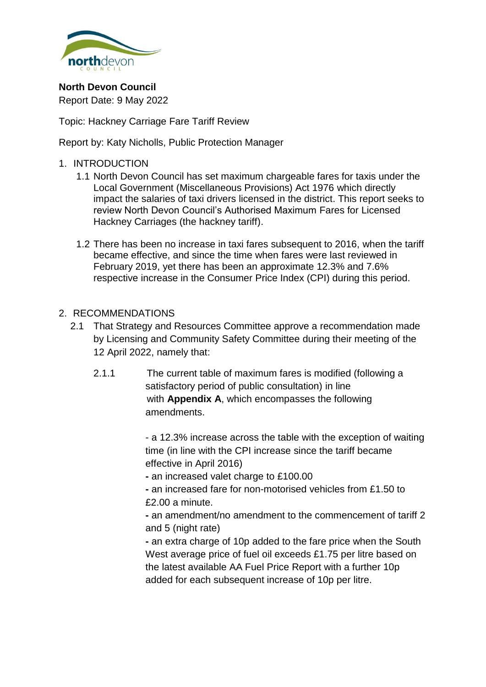

**North Devon Council** Report Date: 9 May 2022

Topic: Hackney Carriage Fare Tariff Review

Report by: Katy Nicholls, Public Protection Manager

#### 1. INTRODUCTION

- 1.1 North Devon Council has set maximum chargeable fares for taxis under the Local Government (Miscellaneous Provisions) Act 1976 which directly impact the salaries of taxi drivers licensed in the district. This report seeks to review North Devon Council's Authorised Maximum Fares for Licensed Hackney Carriages (the hackney tariff).
- 1.2 There has been no increase in taxi fares subsequent to 2016, when the tariff became effective, and since the time when fares were last reviewed in February 2019, yet there has been an approximate 12.3% and 7.6% respective increase in the Consumer Price Index (CPI) during this period.

#### 2. RECOMMENDATIONS

- 2.1 That Strategy and Resources Committee approve a recommendation made by Licensing and Community Safety Committee during their meeting of the 12 April 2022, namely that:
	- 2.1.1 The current table of maximum fares is modified (following a satisfactory period of public consultation) in line with **Appendix A**, which encompasses the following amendments.

- a 12.3% increase across the table with the exception of waiting time (in line with the CPI increase since the tariff became effective in April 2016)

**-** an increased valet charge to £100.00

**-** an increased fare for non-motorised vehicles from £1.50 to £2.00 a minute.

**-** an amendment/no amendment to the commencement of tariff 2 and 5 (night rate)

**-** an extra charge of 10p added to the fare price when the South West average price of fuel oil exceeds £1.75 per litre based on the latest available AA Fuel Price Report with a further 10p added for each subsequent increase of 10p per litre.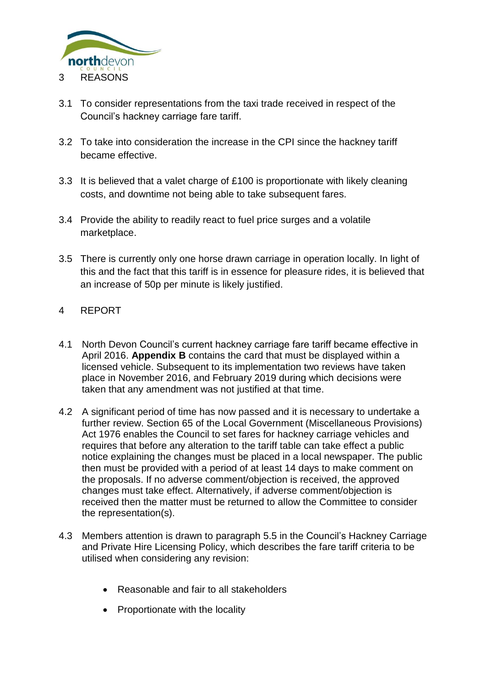

- 3.1 To consider representations from the taxi trade received in respect of the Council's hackney carriage fare tariff.
- 3.2 To take into consideration the increase in the CPI since the hackney tariff became effective.
- 3.3 It is believed that a valet charge of £100 is proportionate with likely cleaning costs, and downtime not being able to take subsequent fares.
- 3.4 Provide the ability to readily react to fuel price surges and a volatile marketplace.
- 3.5 There is currently only one horse drawn carriage in operation locally. In light of this and the fact that this tariff is in essence for pleasure rides, it is believed that an increase of 50p per minute is likely justified.
- 4 REPORT
- 4.1 North Devon Council's current hackney carriage fare tariff became effective in April 2016. **Appendix B** contains the card that must be displayed within a licensed vehicle. Subsequent to its implementation two reviews have taken place in November 2016, and February 2019 during which decisions were taken that any amendment was not justified at that time.
- 4.2 A significant period of time has now passed and it is necessary to undertake a further review. Section 65 of the Local Government (Miscellaneous Provisions) Act 1976 enables the Council to set fares for hackney carriage vehicles and requires that before any alteration to the tariff table can take effect a public notice explaining the changes must be placed in a local newspaper. The public then must be provided with a period of at least 14 days to make comment on the proposals. If no adverse comment/objection is received, the approved changes must take effect. Alternatively, if adverse comment/objection is received then the matter must be returned to allow the Committee to consider the representation(s).
- 4.3 Members attention is drawn to paragraph 5.5 in the Council's Hackney Carriage and Private Hire Licensing Policy, which describes the fare tariff criteria to be utilised when considering any revision:
	- Reasonable and fair to all stakeholders
	- Proportionate with the locality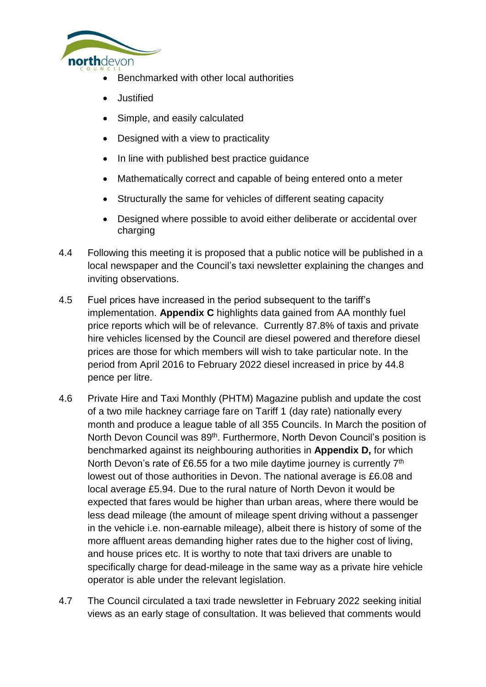

- Benchmarked with other local authorities
- **Justified**
- Simple, and easily calculated
- Designed with a view to practicality
- In line with published best practice guidance
- Mathematically correct and capable of being entered onto a meter
- Structurally the same for vehicles of different seating capacity
- Designed where possible to avoid either deliberate or accidental over charging
- 4.4 Following this meeting it is proposed that a public notice will be published in a local newspaper and the Council's taxi newsletter explaining the changes and inviting observations.
- 4.5 Fuel prices have increased in the period subsequent to the tariff's implementation. **Appendix C** highlights data gained from AA monthly fuel price reports which will be of relevance. Currently 87.8% of taxis and private hire vehicles licensed by the Council are diesel powered and therefore diesel prices are those for which members will wish to take particular note. In the period from April 2016 to February 2022 diesel increased in price by 44.8 pence per litre.
- 4.6 Private Hire and Taxi Monthly (PHTM) Magazine publish and update the cost of a two mile hackney carriage fare on Tariff 1 (day rate) nationally every month and produce a league table of all 355 Councils. In March the position of North Devon Council was 89<sup>th</sup>. Furthermore, North Devon Council's position is benchmarked against its neighbouring authorities in **Appendix D,** for which North Devon's rate of £6.55 for a two mile daytime journey is currently  $7<sup>th</sup>$ lowest out of those authorities in Devon. The national average is £6.08 and local average £5.94. Due to the rural nature of North Devon it would be expected that fares would be higher than urban areas, where there would be less dead mileage (the amount of mileage spent driving without a passenger in the vehicle i.e. non-earnable mileage), albeit there is history of some of the more affluent areas demanding higher rates due to the higher cost of living, and house prices etc. It is worthy to note that taxi drivers are unable to specifically charge for dead-mileage in the same way as a private hire vehicle operator is able under the relevant legislation.
- 4.7 The Council circulated a taxi trade newsletter in February 2022 seeking initial views as an early stage of consultation. It was believed that comments would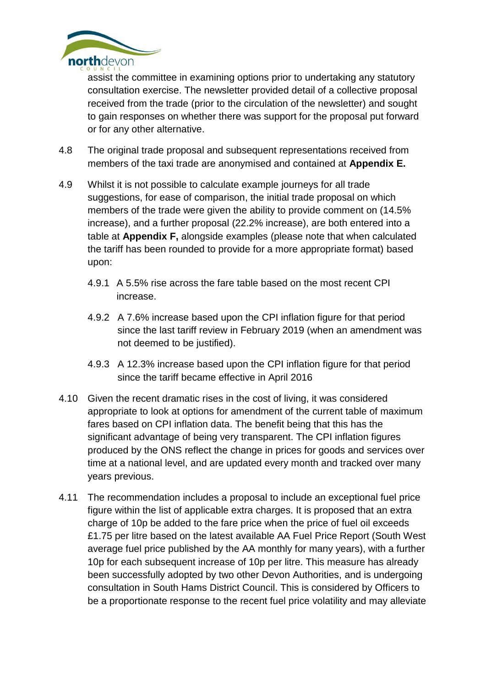

assist the committee in examining options prior to undertaking any statutory consultation exercise. The newsletter provided detail of a collective proposal received from the trade (prior to the circulation of the newsletter) and sought to gain responses on whether there was support for the proposal put forward or for any other alternative.

- 4.8 The original trade proposal and subsequent representations received from members of the taxi trade are anonymised and contained at **Appendix E.**
- 4.9 Whilst it is not possible to calculate example journeys for all trade suggestions, for ease of comparison, the initial trade proposal on which members of the trade were given the ability to provide comment on (14.5% increase), and a further proposal (22.2% increase), are both entered into a table at **Appendix F,** alongside examples (please note that when calculated the tariff has been rounded to provide for a more appropriate format) based upon:
	- 4.9.1 A 5.5% rise across the fare table based on the most recent CPI increase.
	- 4.9.2 A 7.6% increase based upon the CPI inflation figure for that period since the last tariff review in February 2019 (when an amendment was not deemed to be justified).
	- 4.9.3 A 12.3% increase based upon the CPI inflation figure for that period since the tariff became effective in April 2016
- 4.10 Given the recent dramatic rises in the cost of living, it was considered appropriate to look at options for amendment of the current table of maximum fares based on CPI inflation data. The benefit being that this has the significant advantage of being very transparent. The CPI inflation figures produced by the ONS reflect the change in prices for goods and services over time at a national level, and are updated every month and tracked over many years previous.
- 4.11 The recommendation includes a proposal to include an exceptional fuel price figure within the list of applicable extra charges. It is proposed that an extra charge of 10p be added to the fare price when the price of fuel oil exceeds £1.75 per litre based on the latest available AA Fuel Price Report (South West average fuel price published by the AA monthly for many years), with a further 10p for each subsequent increase of 10p per litre. This measure has already been successfully adopted by two other Devon Authorities, and is undergoing consultation in South Hams District Council. This is considered by Officers to be a proportionate response to the recent fuel price volatility and may alleviate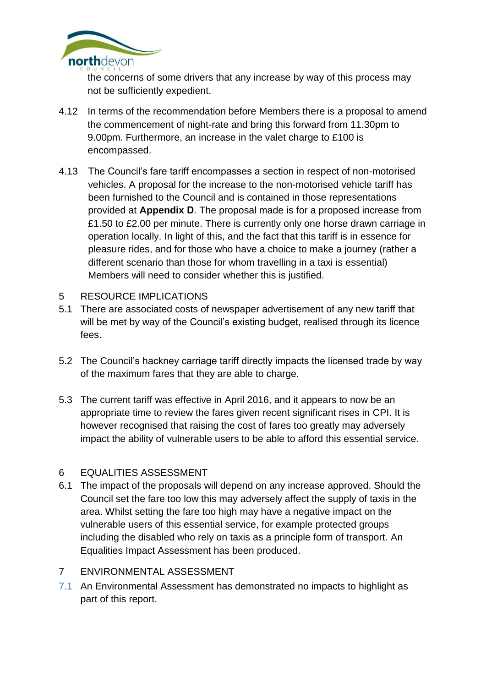

the concerns of some drivers that any increase by way of this process may not be sufficiently expedient.

- 4.12 In terms of the recommendation before Members there is a proposal to amend the commencement of night-rate and bring this forward from 11.30pm to 9.00pm. Furthermore, an increase in the valet charge to £100 is encompassed.
- 4.13 The Council's fare tariff encompasses a section in respect of non-motorised vehicles. A proposal for the increase to the non-motorised vehicle tariff has been furnished to the Council and is contained in those representations provided at **Appendix D**. The proposal made is for a proposed increase from £1.50 to £2.00 per minute. There is currently only one horse drawn carriage in operation locally. In light of this, and the fact that this tariff is in essence for pleasure rides, and for those who have a choice to make a journey (rather a different scenario than those for whom travelling in a taxi is essential) Members will need to consider whether this is justified.

#### 5 RESOURCE IMPLICATIONS

- 5.1 There are associated costs of newspaper advertisement of any new tariff that will be met by way of the Council's existing budget, realised through its licence fees.
- 5.2 The Council's hackney carriage tariff directly impacts the licensed trade by way of the maximum fares that they are able to charge.
- 5.3 The current tariff was effective in April 2016, and it appears to now be an appropriate time to review the fares given recent significant rises in CPI. It is however recognised that raising the cost of fares too greatly may adversely impact the ability of vulnerable users to be able to afford this essential service.

## 6 EQUALITIES ASSESSMENT

6.1 The impact of the proposals will depend on any increase approved. Should the Council set the fare too low this may adversely affect the supply of taxis in the area. Whilst setting the fare too high may have a negative impact on the vulnerable users of this essential service, for example protected groups including the disabled who rely on taxis as a principle form of transport. An Equalities Impact Assessment has been produced.

## 7 ENVIRONMENTAL ASSESSMENT

7.1 An Environmental Assessment has demonstrated no impacts to highlight as part of this report.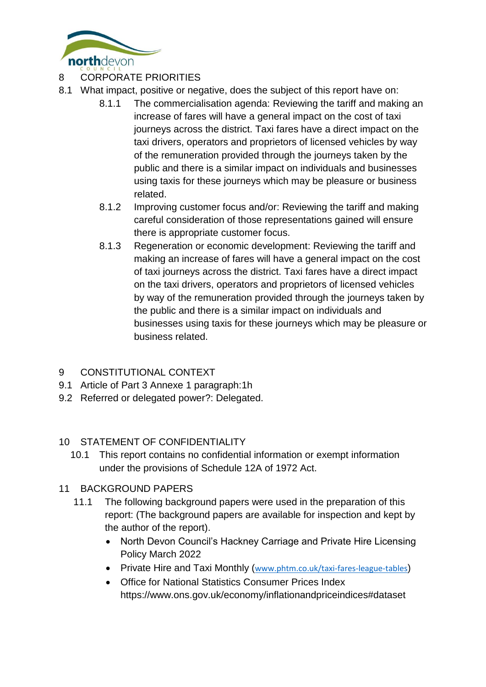

# 8 CORPORATE PRIORITIES

- 8.1 What impact, positive or negative, does the subject of this report have on:
	- 8.1.1 The commercialisation agenda: Reviewing the tariff and making an increase of fares will have a general impact on the cost of taxi journeys across the district. Taxi fares have a direct impact on the taxi drivers, operators and proprietors of licensed vehicles by way of the remuneration provided through the journeys taken by the public and there is a similar impact on individuals and businesses using taxis for these journeys which may be pleasure or business related.
	- 8.1.2 Improving customer focus and/or: Reviewing the tariff and making careful consideration of those representations gained will ensure there is appropriate customer focus.
	- 8.1.3 Regeneration or economic development: Reviewing the tariff and making an increase of fares will have a general impact on the cost of taxi journeys across the district. Taxi fares have a direct impact on the taxi drivers, operators and proprietors of licensed vehicles by way of the remuneration provided through the journeys taken by the public and there is a similar impact on individuals and businesses using taxis for these journeys which may be pleasure or business related.

## 9 CONSTITUTIONAL CONTEXT

- 9.1 Article of Part 3 Annexe 1 paragraph:1h
- 9.2 Referred or delegated power?: Delegated.

## 10 STATEMENT OF CONFIDENTIALITY

10.1 This report contains no confidential information or exempt information under the provisions of Schedule 12A of 1972 Act.

## 11 BACKGROUND PAPERS

- 11.1 The following background papers were used in the preparation of this report: (The background papers are available for inspection and kept by the author of the report).
	- North Devon Council's Hackney Carriage and Private Hire Licensing Policy March 2022
	- Private Hire and Taxi Monthly ([www.phtm.co.uk/taxi-fares-league-tables](http://www.phtm.co.uk/taxi-fares-league-tables))
	- Office for National Statistics Consumer Prices Index https://www.ons.gov.uk/economy/inflationandpriceindices#dataset